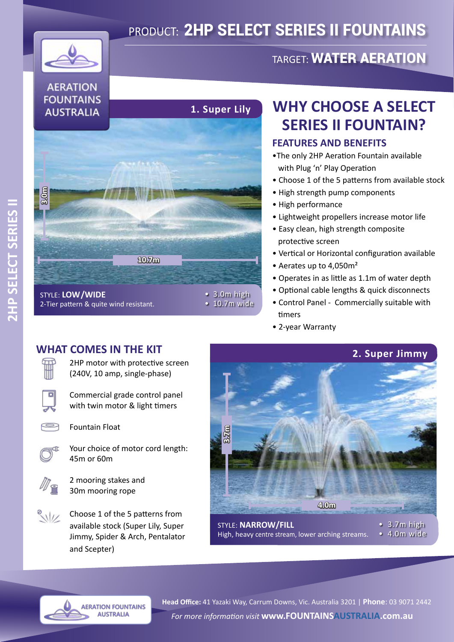# PRODUCT: 2HP SELECT SERIES II FOUNTAINS



## **AERATION FOUNTAINS AUSTRALIA**



STYLE: **LOW/WIDE** 2-Tier pattern & quite wind resistant.

## **WHY CHOOSE A SELECT SERIES II FOUNTAIN?**

TARGET: WATER AERATION

#### **FEATURES AND BENEFITS**

- •The only 2HP Aeration Fountain available with Plug 'n' Play Operation
- Choose 1 of the 5 patterns from available stock
- High strength pump components
- High performance
- Lightweight propellers increase motor life
- Easy clean, high strength composite protective screen
- Vertical or Horizontal configuration available
- Aerates up to 4,050m²
- Operates in as little as 1.1m of water depth
- Optional cable lengths & quick disconnects
- Control Panel Commercially suitable with timers
- 2-year Warranty

• 10.7m wide

### **WHAT COMES IN THE KIT**



2HP motor with protective screen (240V, 10 amp, single-phase)

Commercial grade control panel with twin motor & light timers



O

Fountain Float



Your choice of motor cord length: 45m or 60m



2 mooring stakes and 30m mooring rope



**AERATION FOUNTAINS AUSTRALIA** 



High, heavy centre stream, lower arching streams.

*For more information visit* **www.FOUNTAINSAUSTRALIA.com.au Head Office:** 41 Yazaki Way, Carrum Downs, Vic. Australia 3201 | **Phone**: 03 9071 2442

• 3.7m high • 4.0m wide